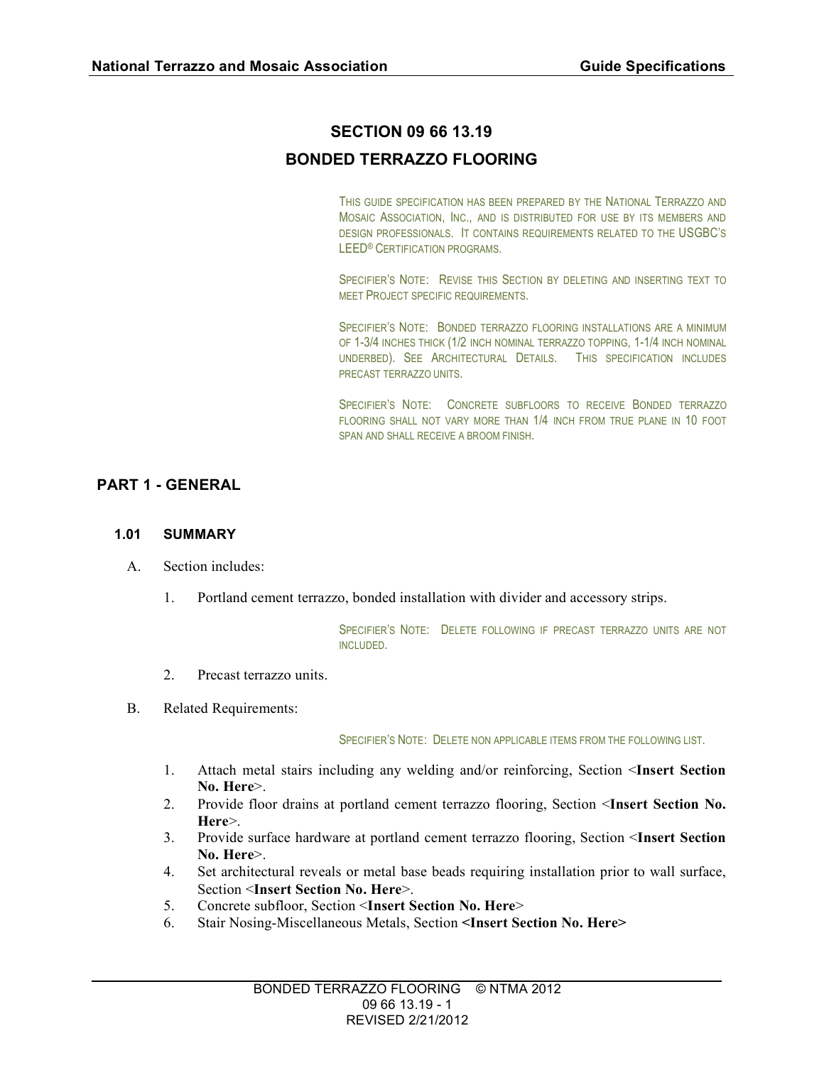# **SECTION 09 66 13.19**

# **BONDED TERRAZZO FLOORING**

THIS GUIDE SPECIFICATION HAS BEEN PREPARED BY THE NATIONAL TERRAZZO AND MOSAIC ASSOCIATION, INC., AND IS DISTRIBUTED FOR USE BY ITS MEMBERS AND DESIGN PROFESSIONALS. IT CONTAINS REQUIREMENTS RELATED TO THE USGBC'S LEED® CERTIFICATION PROGRAMS.

SPECIFIER'S NOTE: REVISE THIS SECTION BY DELETING AND INSERTING TEXT TO MEET PROJECT SPECIFIC REQUIREMENTS.

SPECIFIER'S NOTE: BONDED TERRAZZO FLOORING INSTALLATIONS ARE A MINIMUM OF 1-3/4 INCHES THICK (1/2 INCH NOMINAL TERRAZZO TOPPING, 1-1/4 INCH NOMINAL UNDERBED). SEE ARCHITECTURAL DETAILS. THIS SPECIFICATION INCLUDES PRECAST TERRAZZO UNITS.

SPECIFIER'S NOTE: CONCRETE SUBFLOORS TO RECEIVE BONDED TERRAZZO FLOORING SHALL NOT VARY MORE THAN 1/4 INCH FROM TRUE PLANE IN 10 FOOT SPAN AND SHALL RECEIVE A BROOM FINISH.

## **PART 1 - GENERAL**

#### **1.01 SUMMARY**

- A. Section includes:
	- 1. Portland cement terrazzo, bonded installation with divider and accessory strips.

SPECIFIER'S NOTE: DELETE FOLLOWING IF PRECAST TERRAZZO UNITS ARE NOT INCLUDED.

- 2. Precast terrazzo units.
- B. Related Requirements:

SPECIFIER'S NOTE: DELETE NON APPLICABLE ITEMS FROM THE FOLLOWING LIST.

- 1. Attach metal stairs including any welding and/or reinforcing, Section <**Insert Section No. Here**>.
- 2. Provide floor drains at portland cement terrazzo flooring, Section <**Insert Section No. Here**>.
- 3. Provide surface hardware at portland cement terrazzo flooring, Section <**Insert Section No. Here**>.
- 4. Set architectural reveals or metal base beads requiring installation prior to wall surface, Section <**Insert Section No. Here**>.
- 5. Concrete subfloor, Section <**Insert Section No. Here**>
- 6. Stair Nosing-Miscellaneous Metals, Section **<Insert Section No. Here>**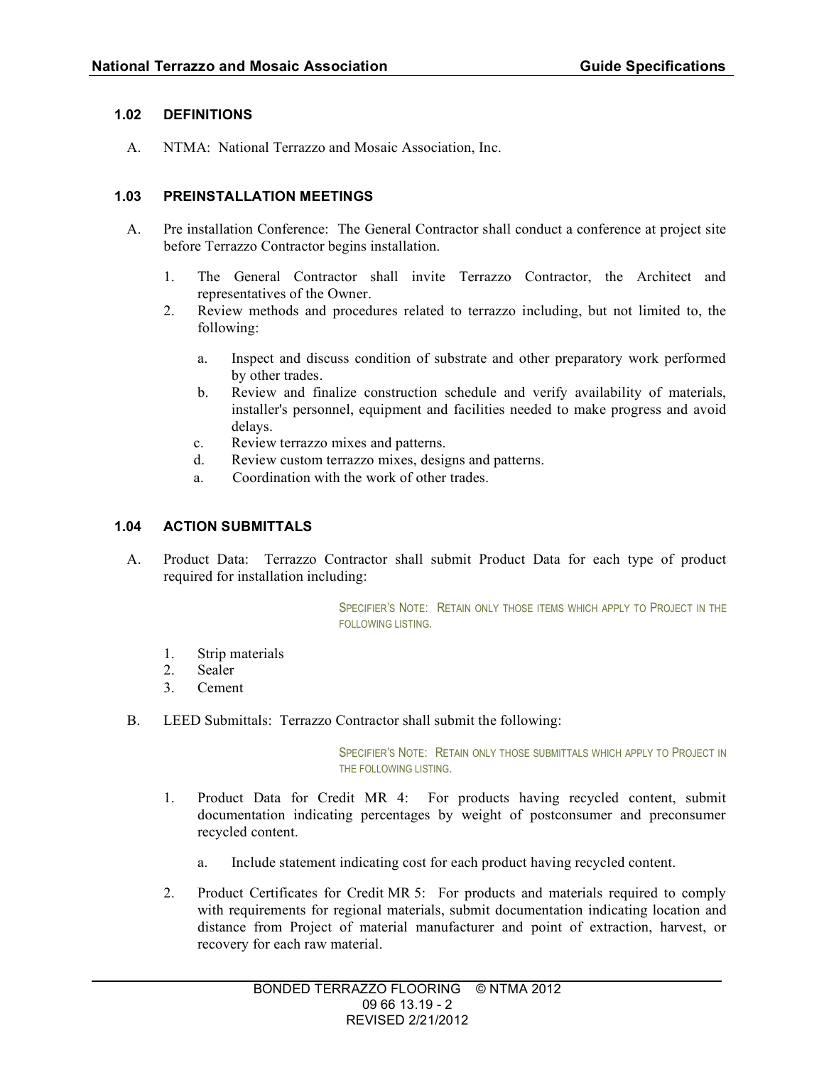### **1.02 DEFINITIONS**

A. NTMA: National Terrazzo and Mosaic Association, Inc.

## **1.03 PREINSTALLATION MEETINGS**

- A. Pre installation Conference: The General Contractor shall conduct a conference at project site before Terrazzo Contractor begins installation.
	- 1. The General Contractor shall invite Terrazzo Contractor, the Architect and representatives of the Owner.
	- 2. Review methods and procedures related to terrazzo including, but not limited to, the following:
		- a. Inspect and discuss condition of substrate and other preparatory work performed by other trades.
		- b. Review and finalize construction schedule and verify availability of materials, installer's personnel, equipment and facilities needed to make progress and avoid delays.
		- c. Review terrazzo mixes and patterns.
		- d. Review custom terrazzo mixes, designs and patterns.
		- a. Coordination with the work of other trades.

#### **1.04 ACTION SUBMITTALS**

A. Product Data: Terrazzo Contractor shall submit Product Data for each type of product required for installation including:

> SPECIFIER'S NOTE: RETAIN ONLY THOSE ITEMS WHICH APPLY TO PROJECT IN THE FOLLOWING LISTING.

- 1. Strip materials
- 2. Sealer
- 3. Cement
- B. LEED Submittals: Terrazzo Contractor shall submit the following:

SPECIFIER'S NOTE: RETAIN ONLY THOSE SUBMITTALS WHICH APPLY TO PROJECT IN THE FOLLOWING LISTING.

- 1. Product Data for Credit MR 4: For products having recycled content, submit documentation indicating percentages by weight of postconsumer and preconsumer recycled content.
	- a. Include statement indicating cost for each product having recycled content.
- 2. Product Certificates for Credit MR 5: For products and materials required to comply with requirements for regional materials, submit documentation indicating location and distance from Project of material manufacturer and point of extraction, harvest, or recovery for each raw material.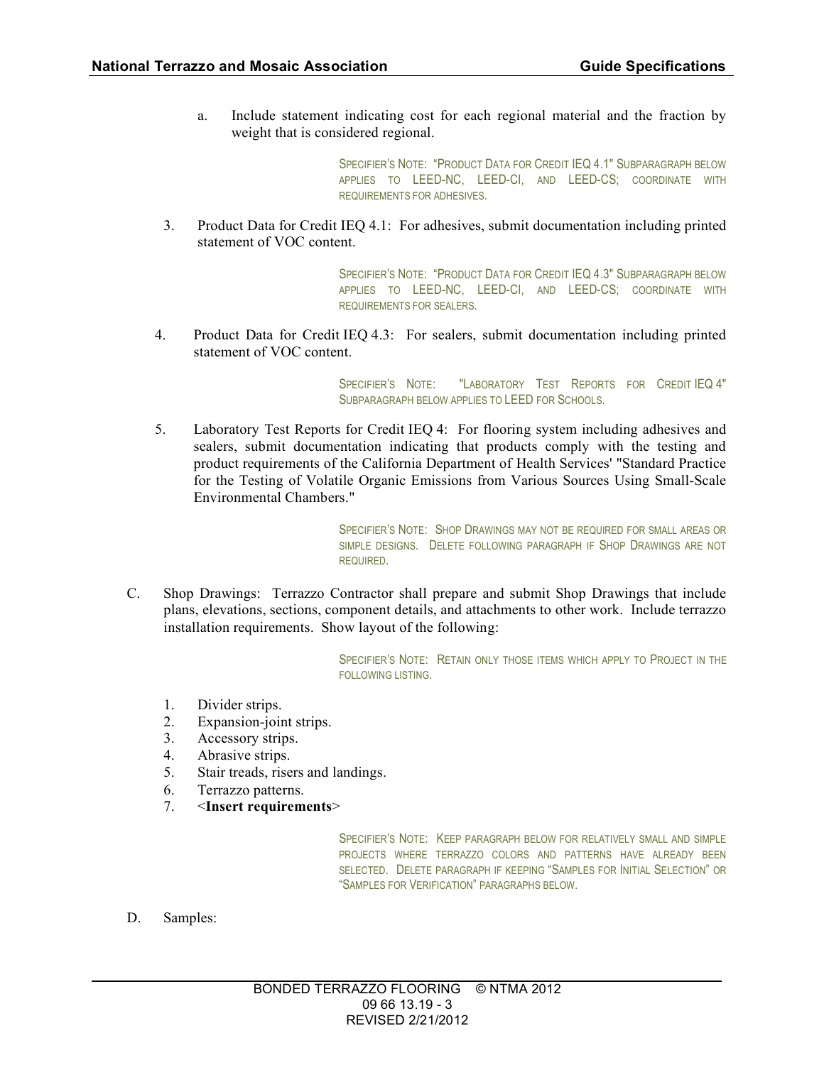a. Include statement indicating cost for each regional material and the fraction by weight that is considered regional.

> SPECIFIER'S NOTE: "PRODUCT DATA FOR CREDIT IEQ 4.1" SUBPARAGRAPH BELOW APPLIES TO LEED-NC, LEED-CI, AND LEED-CS; COORDINATE WITH REQUIREMENTS FOR ADHESIVES.

3. Product Data for Credit IEQ 4.1: For adhesives, submit documentation including printed statement of VOC content.

> SPECIFIER'S NOTE: "PRODUCT DATA FOR CREDIT IEQ 4.3" SUBPARAGRAPH BELOW APPLIES TO LEED-NC, LEED-CI, AND LEED-CS; COORDINATE WITH REQUIREMENTS FOR SEALERS.

4. Product Data for Credit IEQ 4.3: For sealers, submit documentation including printed statement of VOC content.

> SPECIFIER'S NOTE: "LABORATORY TEST REPORTS FOR CREDIT IEQ 4" SUBPARAGRAPH BELOW APPLIES TO LEED FOR SCHOOLS.

5. Laboratory Test Reports for Credit IEQ 4: For flooring system including adhesives and sealers, submit documentation indicating that products comply with the testing and product requirements of the California Department of Health Services' "Standard Practice for the Testing of Volatile Organic Emissions from Various Sources Using Small-Scale Environmental Chambers."

> SPECIFIER'S NOTE: SHOP DRAWINGS MAY NOT BE REQUIRED FOR SMALL AREAS OR SIMPLE DESIGNS. DELETE FOLLOWING PARAGRAPH IF SHOP DRAWINGS ARE NOT REQUIRED.

C. Shop Drawings: Terrazzo Contractor shall prepare and submit Shop Drawings that include plans, elevations, sections, component details, and attachments to other work. Include terrazzo installation requirements. Show layout of the following:

> SPECIFIER'S NOTE: RETAIN ONLY THOSE ITEMS WHICH APPLY TO PROJECT IN THE FOLLOWING LISTING.

- 1. Divider strips.
- 2. Expansion-joint strips.
- 3. Accessory strips.
- 4. Abrasive strips.
- 5. Stair treads, risers and landings.
- 6. Terrazzo patterns.
- 7. <**Insert requirements**>

SPECIFIER'S NOTE: KEEP PARAGRAPH BELOW FOR RELATIVELY SMALL AND SIMPLE PROJECTS WHERE TERRAZZO COLORS AND PATTERNS HAVE ALREADY BEEN SELECTED. DELETE PARAGRAPH IF KEEPING "SAMPLES FOR INITIAL SELECTION" OR "SAMPLES FOR VERIFICATION" PARAGRAPHS BELOW.

D. Samples: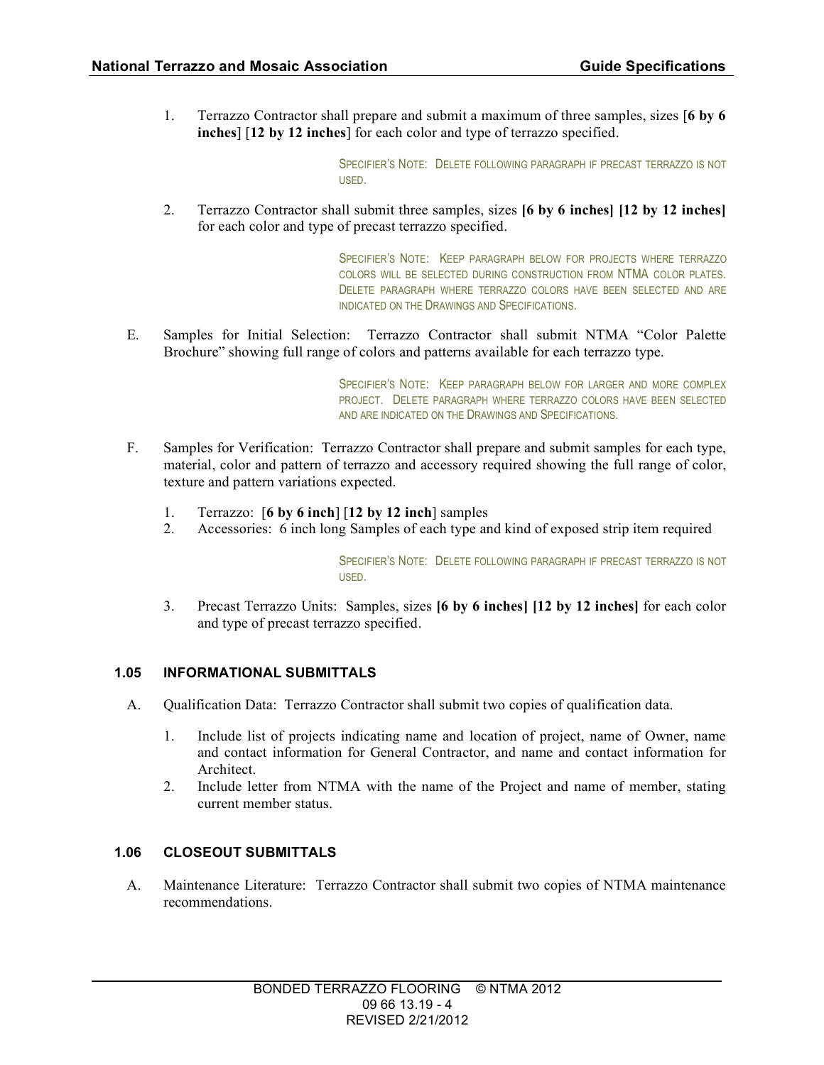1. Terrazzo Contractor shall prepare and submit a maximum of three samples, sizes [**6 by 6 inches**] [**12 by 12 inches**] for each color and type of terrazzo specified.

> SPECIFIER'S NOTE: DELETE FOLLOWING PARAGRAPH IF PRECAST TERRAZZO IS NOT USED.

2. Terrazzo Contractor shall submit three samples, sizes **[6 by 6 inches] [12 by 12 inches]** for each color and type of precast terrazzo specified.

> SPECIFIER'S NOTE: KEEP PARAGRAPH BELOW FOR PROJECTS WHERE TERRAZZO COLORS WILL BE SELECTED DURING CONSTRUCTION FROM NTMA COLOR PLATES. DELETE PARAGRAPH WHERE TERRAZZO COLORS HAVE BEEN SELECTED AND ARE INDICATED ON THE DRAWINGS AND SPECIFICATIONS.

E. Samples for Initial Selection: Terrazzo Contractor shall submit NTMA "Color Palette Brochure" showing full range of colors and patterns available for each terrazzo type.

> SPECIFIER'S NOTE: KEEP PARAGRAPH BELOW FOR LARGER AND MORE COMPLEX PROJECT. DELETE PARAGRAPH WHERE TERRAZZO COLORS HAVE BEEN SELECTED AND ARE INDICATED ON THE DRAWINGS AND SPECIFICATIONS.

- F. Samples for Verification: Terrazzo Contractor shall prepare and submit samples for each type, material, color and pattern of terrazzo and accessory required showing the full range of color, texture and pattern variations expected.
	- 1. Terrazzo: [**6 by 6 inch**] [**12 by 12 inch**] samples
	- 2. Accessories: 6 inch long Samples of each type and kind of exposed strip item required

SPECIFIER'S NOTE: DELETE FOLLOWING PARAGRAPH IF PRECAST TERRAZZO IS NOT USED.

3. Precast Terrazzo Units: Samples, sizes **[6 by 6 inches] [12 by 12 inches]** for each color and type of precast terrazzo specified.

#### **1.05 INFORMATIONAL SUBMITTALS**

- A. Qualification Data: Terrazzo Contractor shall submit two copies of qualification data.
	- 1. Include list of projects indicating name and location of project, name of Owner, name and contact information for General Contractor, and name and contact information for Architect.
	- 2. Include letter from NTMA with the name of the Project and name of member, stating current member status.

## **1.06 CLOSEOUT SUBMITTALS**

A. Maintenance Literature: Terrazzo Contractor shall submit two copies of NTMA maintenance recommendations.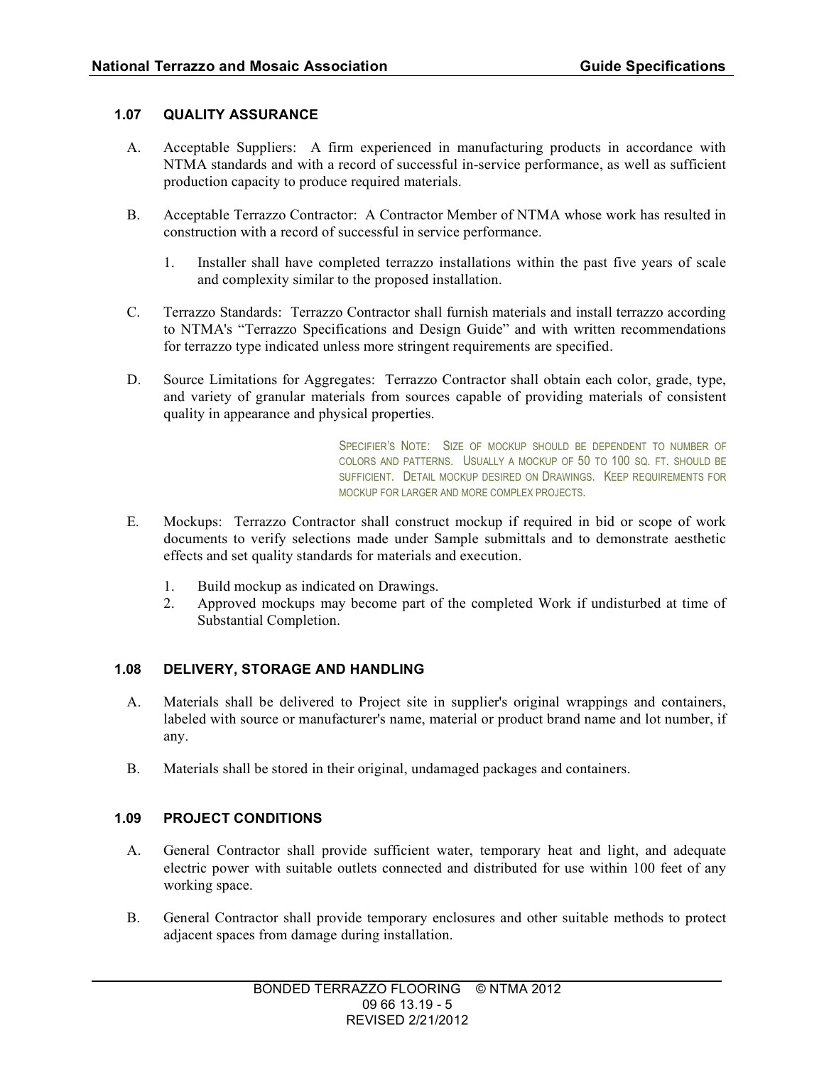## **1.07 QUALITY ASSURANCE**

- A. Acceptable Suppliers: A firm experienced in manufacturing products in accordance with NTMA standards and with a record of successful in-service performance, as well as sufficient production capacity to produce required materials.
- B. Acceptable Terrazzo Contractor: A Contractor Member of NTMA whose work has resulted in construction with a record of successful in service performance.
	- 1. Installer shall have completed terrazzo installations within the past five years of scale and complexity similar to the proposed installation.
- C. Terrazzo Standards: Terrazzo Contractor shall furnish materials and install terrazzo according to NTMA's "Terrazzo Specifications and Design Guide" and with written recommendations for terrazzo type indicated unless more stringent requirements are specified.
- D. Source Limitations for Aggregates: Terrazzo Contractor shall obtain each color, grade, type, and variety of granular materials from sources capable of providing materials of consistent quality in appearance and physical properties.

SPECIFIER'S NOTE: SIZE OF MOCKUP SHOULD BE DEPENDENT TO NUMBER OF COLORS AND PATTERNS. USUALLY A MOCKUP OF 50 TO 100 SQ. FT. SHOULD BE SUFFICIENT. DETAIL MOCKUP DESIRED ON DRAWINGS. KEEP REQUIREMENTS FOR MOCKUP FOR LARGER AND MORE COMPLEX PROJECTS.

- E. Mockups: Terrazzo Contractor shall construct mockup if required in bid or scope of work documents to verify selections made under Sample submittals and to demonstrate aesthetic effects and set quality standards for materials and execution.
	- 1. Build mockup as indicated on Drawings.
	- 2. Approved mockups may become part of the completed Work if undisturbed at time of Substantial Completion.

## **1.08 DELIVERY, STORAGE AND HANDLING**

- A. Materials shall be delivered to Project site in supplier's original wrappings and containers, labeled with source or manufacturer's name, material or product brand name and lot number, if any.
- B. Materials shall be stored in their original, undamaged packages and containers.

## **1.09 PROJECT CONDITIONS**

- A. General Contractor shall provide sufficient water, temporary heat and light, and adequate electric power with suitable outlets connected and distributed for use within 100 feet of any working space.
- B. General Contractor shall provide temporary enclosures and other suitable methods to protect adjacent spaces from damage during installation.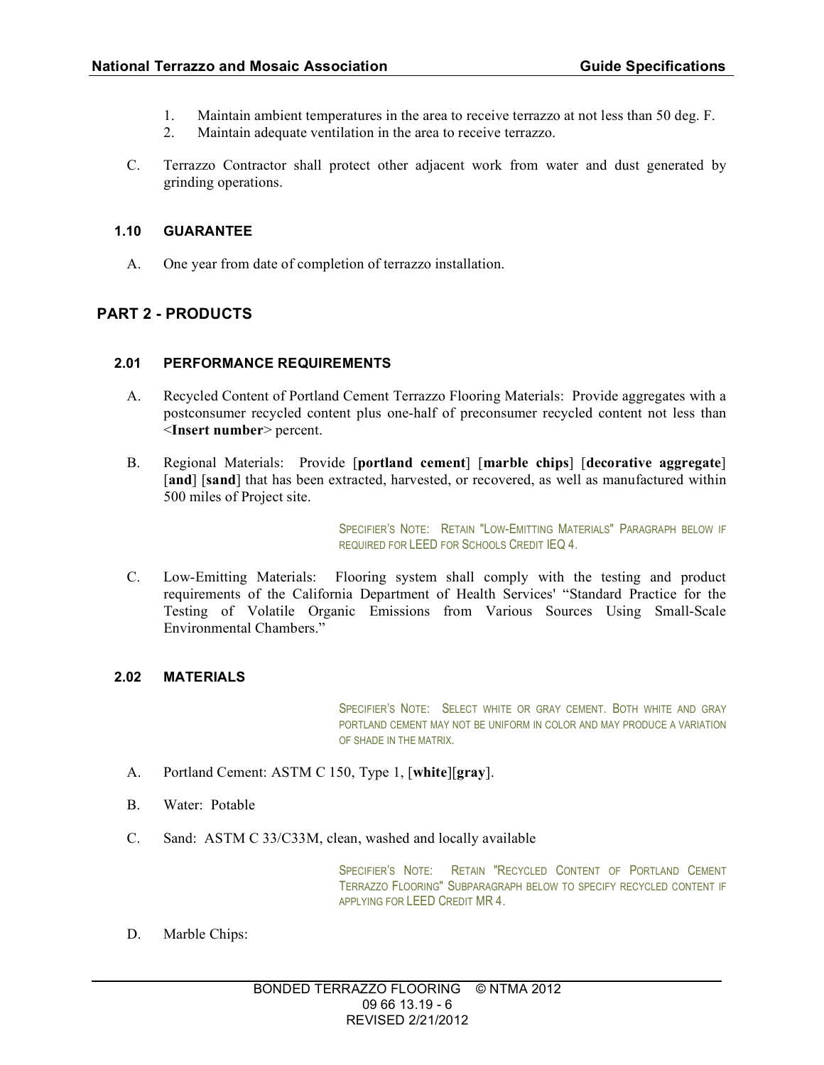- 1. Maintain ambient temperatures in the area to receive terrazzo at not less than 50 deg. F.
- 2. Maintain adequate ventilation in the area to receive terrazzo.
- C. Terrazzo Contractor shall protect other adjacent work from water and dust generated by grinding operations.

## **1.10 GUARANTEE**

A. One year from date of completion of terrazzo installation.

# **PART 2 - PRODUCTS**

#### **2.01 PERFORMANCE REQUIREMENTS**

- A. Recycled Content of Portland Cement Terrazzo Flooring Materials: Provide aggregates with a postconsumer recycled content plus one-half of preconsumer recycled content not less than <**Insert number**> percent.
- B. Regional Materials: Provide [**portland cement**] [**marble chips**] [**decorative aggregate**] [and] [sand] that has been extracted, harvested, or recovered, as well as manufactured within 500 miles of Project site.

SPECIFIER'S NOTE: RETAIN "LOW-EMITTING MATERIALS" PARAGRAPH BELOW IF REQUIRED FOR LEED FOR SCHOOLS CREDIT IEQ 4.

C. Low-Emitting Materials: Flooring system shall comply with the testing and product requirements of the California Department of Health Services' "Standard Practice for the Testing of Volatile Organic Emissions from Various Sources Using Small-Scale Environmental Chambers."

### **2.02 MATERIALS**

SPECIFIER'S NOTE: SELECT WHITE OR GRAY CEMENT. BOTH WHITE AND GRAY PORTLAND CEMENT MAY NOT BE UNIFORM IN COLOR AND MAY PRODUCE A VARIATION OF SHADE IN THE MATRIX.

- A. Portland Cement: ASTM C 150, Type 1, [**white**][**gray**].
- B. Water: Potable
- C. Sand: ASTM C 33/C33M, clean, washed and locally available

SPECIFIER'S NOTE: RETAIN "RECYCLED CONTENT OF PORTLAND CEMENT TERRAZZO FLOORING" SUBPARAGRAPH BELOW TO SPECIFY RECYCLED CONTENT IF APPLYING FOR LEED CREDIT MR 4.

D. Marble Chips: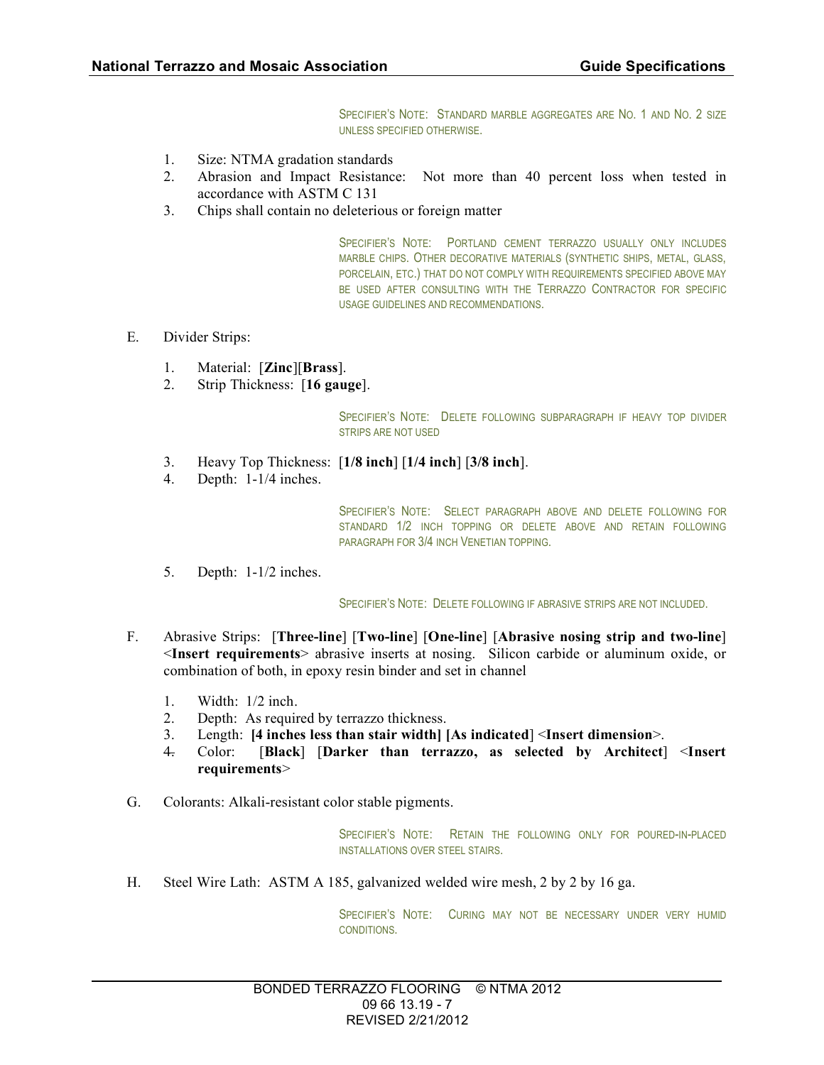SPECIFIER'S NOTE: STANDARD MARBLE AGGREGATES ARE NO. 1 AND NO. 2 SIZE UNLESS SPECIFIED OTHERWISE.

- 1. Size: NTMA gradation standards
- 2. Abrasion and Impact Resistance: Not more than 40 percent loss when tested in accordance with ASTM C 131
- 3. Chips shall contain no deleterious or foreign matter

SPECIFIER'S NOTE: PORTLAND CEMENT TERRAZZO USUALLY ONLY INCLUDES MARBLE CHIPS. OTHER DECORATIVE MATERIALS (SYNTHETIC SHIPS, METAL, GLASS, PORCELAIN, ETC.) THAT DO NOT COMPLY WITH REQUIREMENTS SPECIFIED ABOVE MAY BE USED AFTER CONSULTING WITH THE TERRAZZO CONTRACTOR FOR SPECIFIC USAGE GUIDELINES AND RECOMMENDATIONS.

- E. Divider Strips:
	- 1. Material: [**Zinc**][**Brass**].
	- 2. Strip Thickness: [**16 gauge**].

SPECIFIER'S NOTE: DELETE FOLLOWING SUBPARAGRAPH IF HEAVY TOP DIVIDER STRIPS ARE NOT USED

- 3. Heavy Top Thickness: [**1/8 inch**] [**1/4 inch**] [**3/8 inch**].
- 4. Depth: 1-1/4 inches.

SPECIFIER'S NOTE: SELECT PARAGRAPH ABOVE AND DELETE FOLLOWING FOR STANDARD 1/2 INCH TOPPING OR DELETE ABOVE AND RETAIN FOLLOWING PARAGRAPH FOR 3/4 INCH VENETIAN TOPPING.

5. Depth: 1-1/2 inches.

SPECIFIER'S NOTE: DELETE FOLLOWING IF ABRASIVE STRIPS ARE NOT INCLUDED.

- F. Abrasive Strips: [**Three-line**] [**Two-line**] [**One-line**] [**Abrasive nosing strip and two-line**] <**Insert requirements**> abrasive inserts at nosing. Silicon carbide or aluminum oxide, or combination of both, in epoxy resin binder and set in channel
	- 1. Width: 1/2 inch.
	- 2. Depth: As required by terrazzo thickness.
	- 3. Length: **[4 inches less than stair width] [As indicated**] <**Insert dimension**>.
	- 4. Color: [**Black**] [**Darker than terrazzo, as selected by Architect**] <**Insert requirements**>
- G. Colorants: Alkali-resistant color stable pigments.

SPECIFIER'S NOTE: RETAIN THE FOLLOWING ONLY FOR POURED-IN-PLACED INSTALLATIONS OVER STEEL STAIRS.

H. Steel Wire Lath: ASTM A 185, galvanized welded wire mesh, 2 by 2 by 16 ga.

SPECIFIER'S NOTE: CURING MAY NOT BE NECESSARY UNDER VERY HUMID CONDITIONS.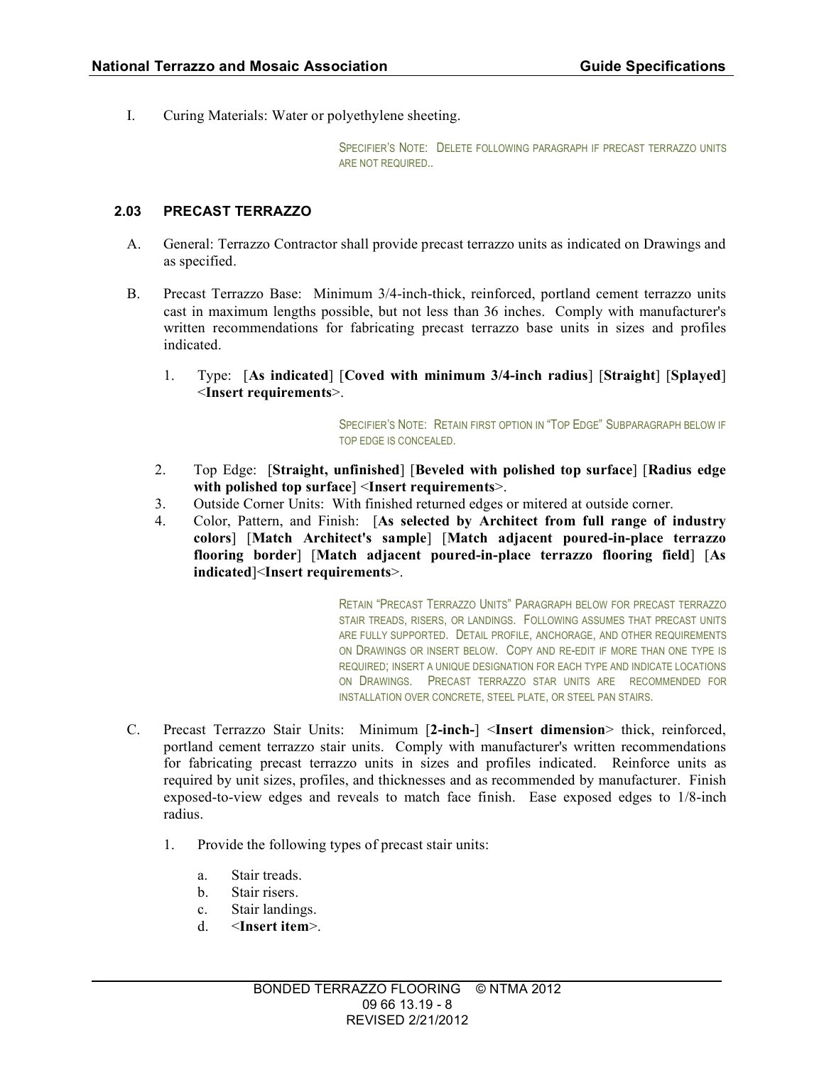I. Curing Materials: Water or polyethylene sheeting.

SPECIFIER'S NOTE: DELETE FOLLOWING PARAGRAPH IF PRECAST TERRAZZO UNITS ARE NOT REQUIRED..

#### **2.03 PRECAST TERRAZZO**

- A. General: Terrazzo Contractor shall provide precast terrazzo units as indicated on Drawings and as specified.
- B. Precast Terrazzo Base: Minimum 3/4-inch-thick, reinforced, portland cement terrazzo units cast in maximum lengths possible, but not less than 36 inches. Comply with manufacturer's written recommendations for fabricating precast terrazzo base units in sizes and profiles indicated.
	- 1. Type: [**As indicated**] [**Coved with minimum 3/4-inch radius**] [**Straight**] [**Splayed**] <**Insert requirements**>.

SPECIFIER'S NOTE: RETAIN FIRST OPTION IN "TOP EDGE" SUBPARAGRAPH BELOW IF TOP EDGE IS CONCEALED.

- 2. Top Edge: [**Straight, unfinished**] [**Beveled with polished top surface**] [**Radius edge with polished top surface**] <**Insert requirements**>.
- 3. Outside Corner Units: With finished returned edges or mitered at outside corner.
- 4. Color, Pattern, and Finish: [**As selected by Architect from full range of industry colors**] [**Match Architect's sample**] [**Match adjacent poured-in-place terrazzo flooring border**] [**Match adjacent poured-in-place terrazzo flooring field**] [**As indicated**]<**Insert requirements**>.

RETAIN "PRECAST TERRAZZO UNITS" PARAGRAPH BELOW FOR PRECAST TERRAZZO STAIR TREADS, RISERS, OR LANDINGS. FOLLOWING ASSUMES THAT PRECAST UNITS ARE FULLY SUPPORTED. DETAIL PROFILE, ANCHORAGE, AND OTHER REQUIREMENTS ON DRAWINGS OR INSERT BELOW. COPY AND RE-EDIT IF MORE THAN ONE TYPE IS REQUIRED; INSERT A UNIQUE DESIGNATION FOR EACH TYPE AND INDICATE LOCATIONS ON DRAWINGS. PRECAST TERRAZZO STAR UNITS ARE RECOMMENDED FOR INSTALLATION OVER CONCRETE, STEEL PLATE, OR STEEL PAN STAIRS.

- C. Precast Terrazzo Stair Units: Minimum [**2-inch-**] <**Insert dimension**> thick, reinforced, portland cement terrazzo stair units. Comply with manufacturer's written recommendations for fabricating precast terrazzo units in sizes and profiles indicated. Reinforce units as required by unit sizes, profiles, and thicknesses and as recommended by manufacturer. Finish exposed-to-view edges and reveals to match face finish. Ease exposed edges to 1/8-inch radius.
	- 1. Provide the following types of precast stair units:
		- a. Stair treads.
		- b. Stair risers.
		- c. Stair landings.
		- d. <**Insert item**>.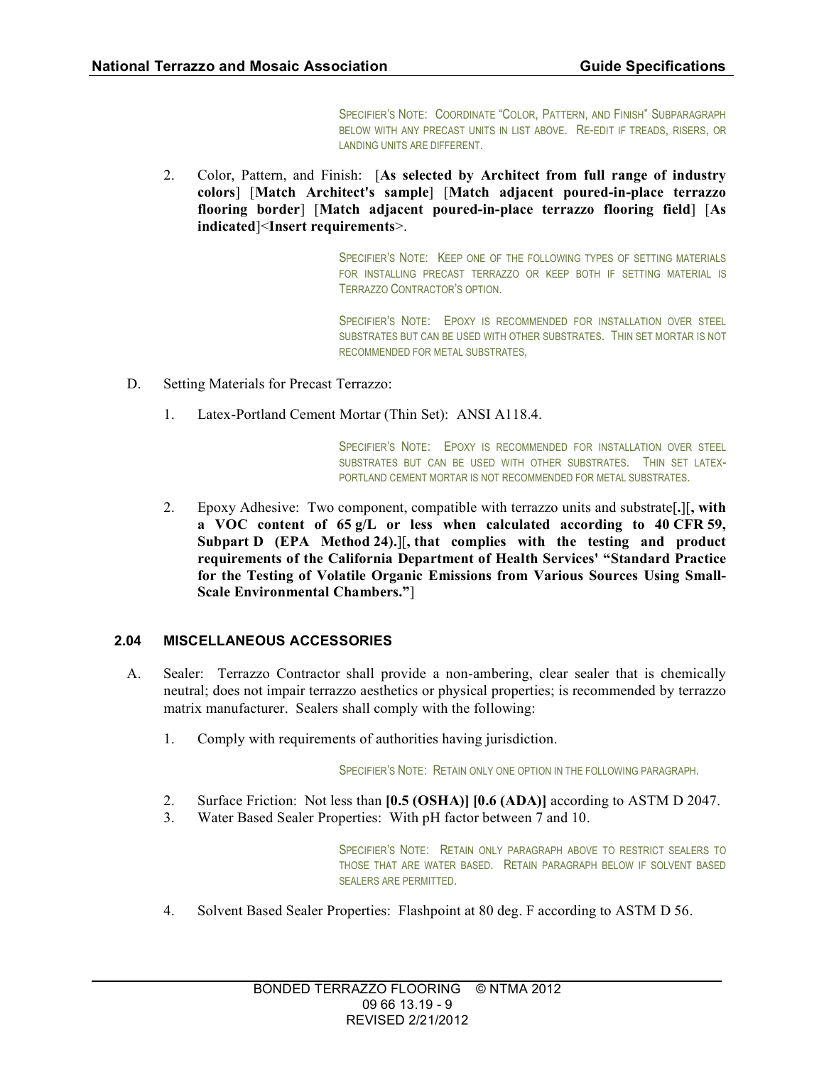SPECIFIER'S NOTE: COORDINATE "COLOR, PATTERN, AND FINISH" SUBPARAGRAPH BELOW WITH ANY PRECAST UNITS IN LIST ABOVE. RE-EDIT IF TREADS, RISERS, OR LANDING UNITS ARE DIFFERENT.

2. Color, Pattern, and Finish: [**As selected by Architect from full range of industry colors**] [**Match Architect's sample**] [**Match adjacent poured-in-place terrazzo flooring border**] [**Match adjacent poured-in-place terrazzo flooring field**] [**As indicated**]<**Insert requirements**>.

> SPECIFIER'S NOTE: KEEP ONE OF THE FOLLOWING TYPES OF SETTING MATERIALS FOR INSTALLING PRECAST TERRAZZO OR KEEP BOTH IF SETTING MATERIAL IS TERRAZZO CONTRACTOR'S OPTION.

> SPECIFIER'S NOTE: EPOXY IS RECOMMENDED FOR INSTALLATION OVER STEEL SUBSTRATES BUT CAN BE USED WITH OTHER SUBSTRATES. THIN SET MORTAR IS NOT RECOMMENDED FOR METAL SUBSTRATES,

- D. Setting Materials for Precast Terrazzo:
	- 1. Latex-Portland Cement Mortar (Thin Set): ANSI A118.4.

SPECIFIER'S NOTE: EPOXY IS RECOMMENDED FOR INSTALLATION OVER STEEL SUBSTRATES BUT CAN BE USED WITH OTHER SUBSTRATES. THIN SET LATEX-PORTLAND CEMENT MORTAR IS NOT RECOMMENDED FOR METAL SUBSTRATES.

2. Epoxy Adhesive: Two component, compatible with terrazzo units and substrate[**.**][**, with a VOC content of 65 g/L or less when calculated according to 40 CFR 59, Subpart D (EPA Method 24).**][**, that complies with the testing and product requirements of the California Department of Health Services' "Standard Practice for the Testing of Volatile Organic Emissions from Various Sources Using Small-Scale Environmental Chambers."**]

#### **2.04 MISCELLANEOUS ACCESSORIES**

- A. Sealer: Terrazzo Contractor shall provide a non-ambering, clear sealer that is chemically neutral; does not impair terrazzo aesthetics or physical properties; is recommended by terrazzo matrix manufacturer. Sealers shall comply with the following:
	- 1. Comply with requirements of authorities having jurisdiction.

SPECIFIER'S NOTE: RETAIN ONLY ONE OPTION IN THE FOLLOWING PARAGRAPH.

- 2. Surface Friction: Not less than **[0.5 (OSHA)] [0.6 (ADA)]** according to ASTM D 2047.
- 3. Water Based Sealer Properties: With pH factor between 7 and 10.

SPECIFIER'S NOTE: RETAIN ONLY PARAGRAPH ABOVE TO RESTRICT SEALERS TO THOSE THAT ARE WATER BASED. RETAIN PARAGRAPH BELOW IF SOLVENT BASED SEALERS ARE PERMITTED.

4. Solvent Based Sealer Properties: Flashpoint at 80 deg. F according to ASTM D 56.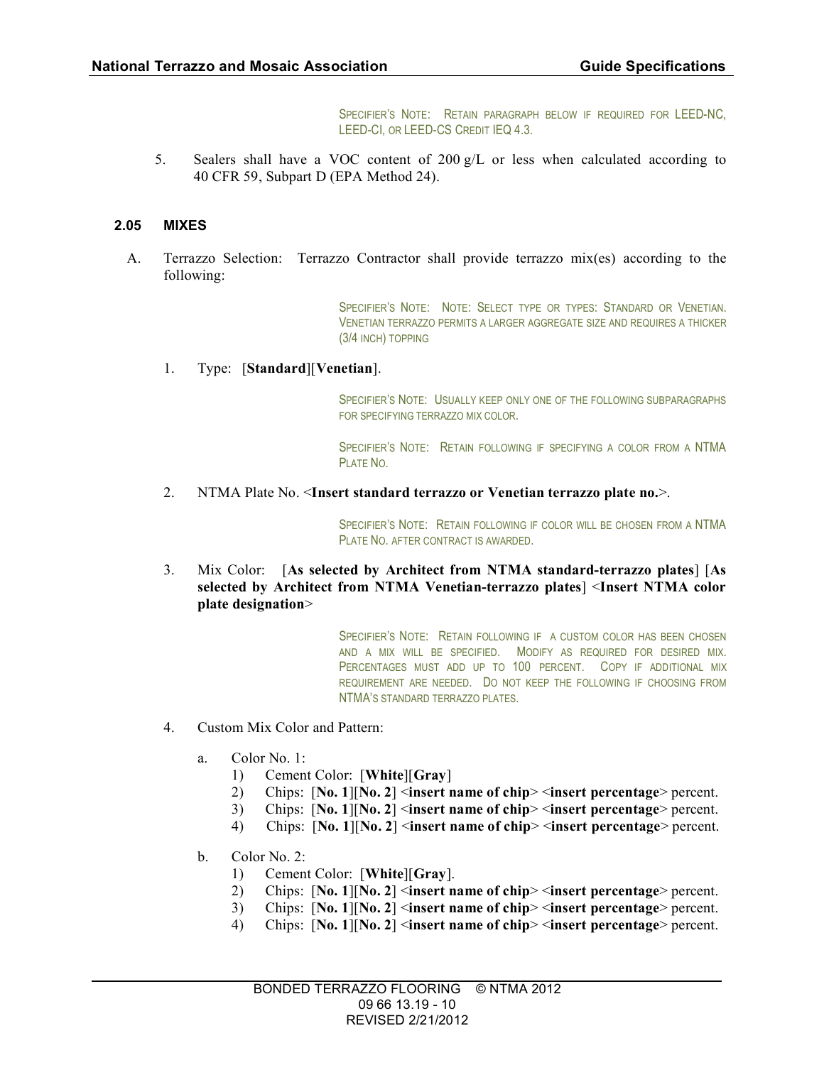SPECIFIER'S NOTE: RETAIN PARAGRAPH BELOW IF REQUIRED FOR LEED-NC, LEED-CI, OR LEED-CS CREDIT IEQ 4.3.

5. Sealers shall have a VOC content of 200  $g/L$  or less when calculated according to 40 CFR 59, Subpart D (EPA Method 24).

## **2.05 MIXES**

A. Terrazzo Selection: Terrazzo Contractor shall provide terrazzo mix(es) according to the following:

> SPECIFIER'S NOTE: NOTE: SELECT TYPE OR TYPES: STANDARD OR VENETIAN. VENETIAN TERRAZZO PERMITS A LARGER AGGREGATE SIZE AND REQUIRES A THICKER (3/4 INCH) TOPPING

1. Type: [**Standard**][**Venetian**].

SPECIFIER'S NOTE: USUALLY KEEP ONLY ONE OF THE FOLLOWING SUBPARAGRAPHS FOR SPECIFYING TERRAZZO MIX COLOR.

SPECIFIER'S NOTE: RETAIN FOLLOWING IF SPECIFYING A COLOR FROM A NTMA **PLATE NO.** 

2. NTMA Plate No. <**Insert standard terrazzo or Venetian terrazzo plate no.**>.

SPECIFIER'S NOTE: RETAIN FOLLOWING IF COLOR WILL BE CHOSEN FROM A NTMA PLATE NO. AFTER CONTRACT IS AWARDED.

3. Mix Color: [**As selected by Architect from NTMA standard-terrazzo plates**] [**As selected by Architect from NTMA Venetian-terrazzo plates**] <**Insert NTMA color plate designation**>

> SPECIFIER'S NOTE: RETAIN FOLLOWING IF A CUSTOM COLOR HAS BEEN CHOSEN AND A MIX WILL BE SPECIFIED. MODIFY AS REQUIRED FOR DESIRED MIX. PERCENTAGES MUST ADD UP TO 100 PERCENT. COPY IF ADDITIONAL MIX REQUIREMENT ARE NEEDED. DO NOT KEEP THE FOLLOWING IF CHOOSING FROM NTMA'S STANDARD TERRAZZO PLATES.

- 4. Custom Mix Color and Pattern:
	- a. Color No. 1:
		- 1) Cement Color: [**White**][**Gray**]
		- 2) Chips: [**No. 1**][**No. 2**] <**insert name of chip**> <**insert percentage**> percent.
		- 3) Chips: [**No. 1**][**No. 2**] <**insert name of chip**> <**insert percentage**> percent.
		- 4) Chips: [**No. 1**][**No. 2**] <**insert name of chip**> <**insert percentage**> percent.
	- b. Color No. 2:
		- 1) Cement Color: [**White**][**Gray**].
		- 2) Chips: [**No. 1**][**No. 2**] <**insert name of chip**> <**insert percentage**> percent.
		- 3) Chips: [**No. 1**][**No. 2**] <**insert name of chip**> <**insert percentage**> percent.
		- 4) Chips: [**No. 1**][**No. 2**] <**insert name of chip**> <**insert percentage**> percent.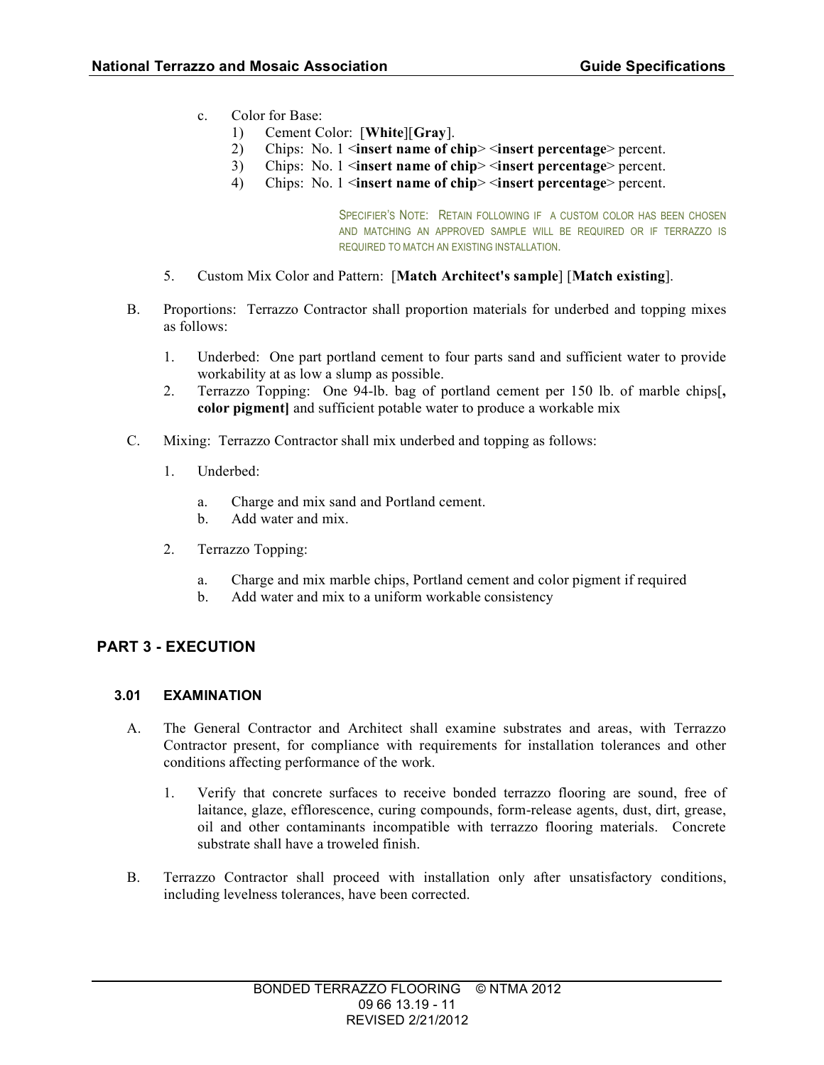- c. Color for Base:
	- 1) Cement Color: [**White**][**Gray**].
	- 2) Chips: No. 1 <**insert name of chip**> <**insert percentage**> percent.
	- 3) Chips: No. 1 <**insert name of chip**> <**insert percentage**> percent.
	- 4) Chips: No. 1 <**insert name of chip**> <**insert percentage**> percent.

SPECIFIER'S NOTE: RETAIN FOLLOWING IF A CUSTOM COLOR HAS BEEN CHOSEN AND MATCHING AN APPROVED SAMPLE WILL BE REQUIRED OR IF TERRAZZO IS REQUIRED TO MATCH AN EXISTING INSTALLATION.

- 5. Custom Mix Color and Pattern: [**Match Architect's sample**] [**Match existing**].
- B. Proportions: Terrazzo Contractor shall proportion materials for underbed and topping mixes as follows:
	- 1. Underbed: One part portland cement to four parts sand and sufficient water to provide workability at as low a slump as possible.
	- 2. Terrazzo Topping: One 94-lb. bag of portland cement per 150 lb. of marble chips[**, color pigment]** and sufficient potable water to produce a workable mix
- C. Mixing: Terrazzo Contractor shall mix underbed and topping as follows:
	- 1. Underbed:
		- a. Charge and mix sand and Portland cement.
		- b. Add water and mix.
	- 2. Terrazzo Topping:
		- a. Charge and mix marble chips, Portland cement and color pigment if required
		- b. Add water and mix to a uniform workable consistency

# **PART 3 - EXECUTION**

#### **3.01 EXAMINATION**

- A. The General Contractor and Architect shall examine substrates and areas, with Terrazzo Contractor present, for compliance with requirements for installation tolerances and other conditions affecting performance of the work.
	- 1. Verify that concrete surfaces to receive bonded terrazzo flooring are sound, free of laitance, glaze, efflorescence, curing compounds, form-release agents, dust, dirt, grease, oil and other contaminants incompatible with terrazzo flooring materials. Concrete substrate shall have a troweled finish.
- B. Terrazzo Contractor shall proceed with installation only after unsatisfactory conditions, including levelness tolerances, have been corrected.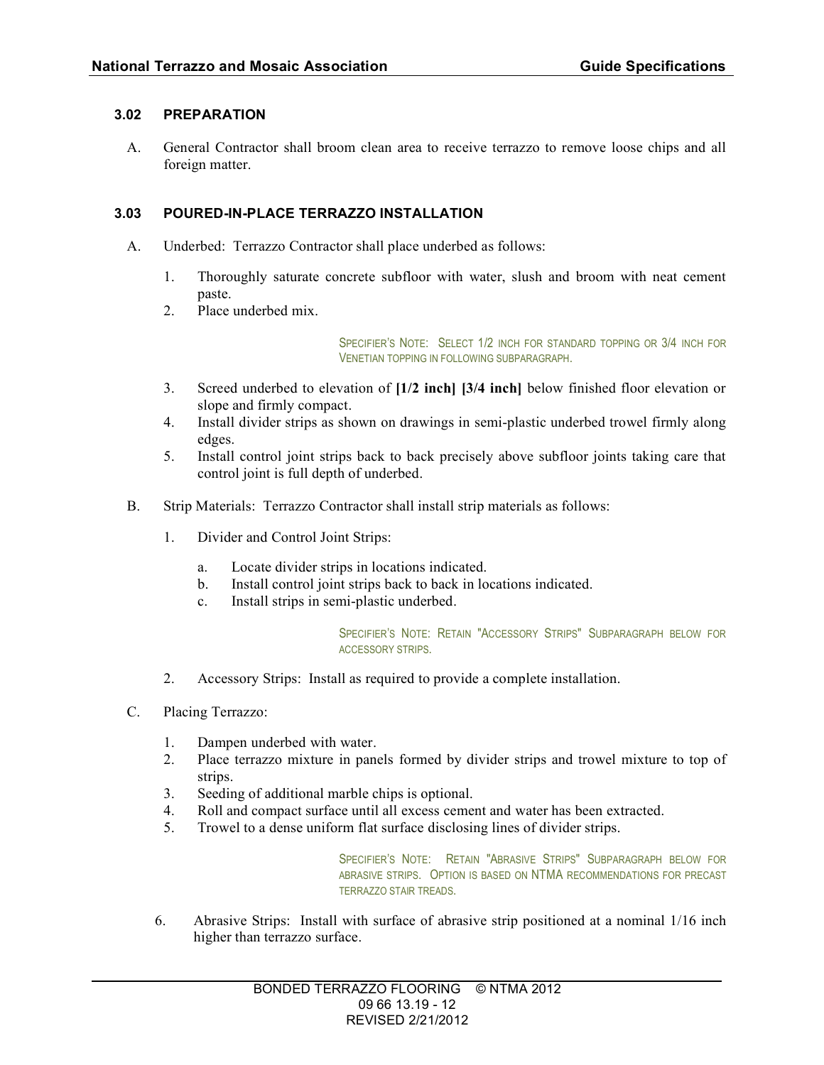#### **3.02 PREPARATION**

A. General Contractor shall broom clean area to receive terrazzo to remove loose chips and all foreign matter.

## **3.03 POURED-IN-PLACE TERRAZZO INSTALLATION**

- A. Underbed: Terrazzo Contractor shall place underbed as follows:
	- 1. Thoroughly saturate concrete subfloor with water, slush and broom with neat cement paste.
	- 2. Place underbed mix.

SPECIFIER'S NOTE: SELECT 1/2 INCH FOR STANDARD TOPPING OR 3/4 INCH FOR VENETIAN TOPPING IN FOLLOWING SUBPARAGRAPH.

- 3. Screed underbed to elevation of **[1/2 inch] [3/4 inch]** below finished floor elevation or slope and firmly compact.
- 4. Install divider strips as shown on drawings in semi-plastic underbed trowel firmly along edges.
- 5. Install control joint strips back to back precisely above subfloor joints taking care that control joint is full depth of underbed.
- B. Strip Materials: Terrazzo Contractor shall install strip materials as follows:
	- 1. Divider and Control Joint Strips:
		- a. Locate divider strips in locations indicated.
		- b. Install control joint strips back to back in locations indicated.
		- c. Install strips in semi-plastic underbed.

SPECIFIER'S NOTE: RETAIN "ACCESSORY STRIPS" SUBPARAGRAPH BELOW FOR ACCESSORY STRIPS.

- 2. Accessory Strips: Install as required to provide a complete installation.
- C. Placing Terrazzo:
	- 1. Dampen underbed with water.
	- 2. Place terrazzo mixture in panels formed by divider strips and trowel mixture to top of strips.
	- 3. Seeding of additional marble chips is optional.
	- 4. Roll and compact surface until all excess cement and water has been extracted.
	- 5. Trowel to a dense uniform flat surface disclosing lines of divider strips.

SPECIFIER'S NOTE: RETAIN "ABRASIVE STRIPS" SUBPARAGRAPH BELOW FOR ABRASIVE STRIPS. OPTION IS BASED ON NTMA RECOMMENDATIONS FOR PRECAST TERRAZZO STAIR TREADS.

6. Abrasive Strips: Install with surface of abrasive strip positioned at a nominal 1/16 inch higher than terrazzo surface.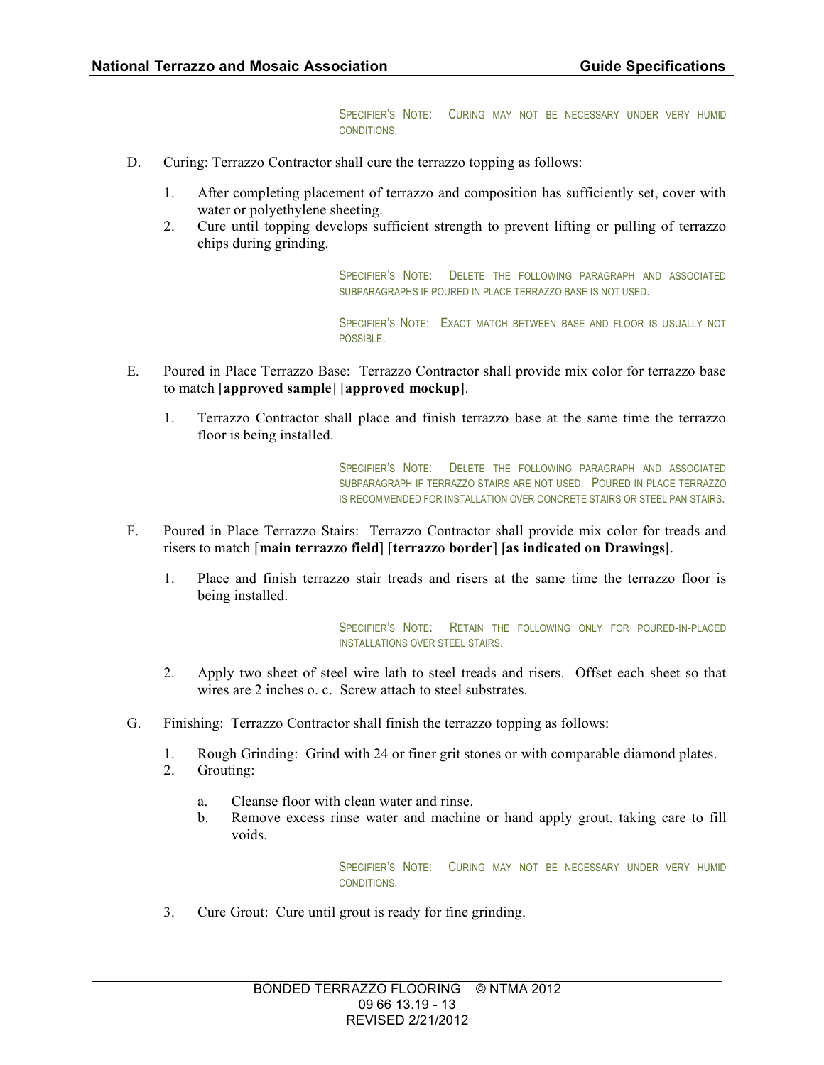SPECIFIER'S NOTE: CURING MAY NOT BE NECESSARY UNDER VERY HUMID CONDITIONS.

- D. Curing: Terrazzo Contractor shall cure the terrazzo topping as follows:
	- 1. After completing placement of terrazzo and composition has sufficiently set, cover with water or polyethylene sheeting.
	- 2. Cure until topping develops sufficient strength to prevent lifting or pulling of terrazzo chips during grinding.

SPECIFIER'S NOTE: DELETE THE FOLLOWING PARAGRAPH AND ASSOCIATED SUBPARAGRAPHS IF POURED IN PLACE TERRAZZO BASE IS NOT USED.

SPECIFIER'S NOTE: EXACT MATCH BETWEEN BASE AND FLOOR IS USUALLY NOT POSSIBLE.

- E. Poured in Place Terrazzo Base: Terrazzo Contractor shall provide mix color for terrazzo base to match [**approved sample**] [**approved mockup**].
	- 1. Terrazzo Contractor shall place and finish terrazzo base at the same time the terrazzo floor is being installed.

SPECIFIER'S NOTE: DELETE THE FOLLOWING PARAGRAPH AND ASSOCIATED SUBPARAGRAPH IF TERRAZZO STAIRS ARE NOT USED. POURED IN PLACE TERRAZZO IS RECOMMENDED FOR INSTALLATION OVER CONCRETE STAIRS OR STEEL PAN STAIRS.

- F. Poured in Place Terrazzo Stairs: Terrazzo Contractor shall provide mix color for treads and risers to match [**main terrazzo field**] [**terrazzo border**] **[as indicated on Drawings]**.
	- 1. Place and finish terrazzo stair treads and risers at the same time the terrazzo floor is being installed.

SPECIFIER'S NOTE: RETAIN THE FOLLOWING ONLY FOR POURED-IN-PLACED INSTALLATIONS OVER STEEL STAIRS.

- 2. Apply two sheet of steel wire lath to steel treads and risers. Offset each sheet so that wires are 2 inches o. c. Screw attach to steel substrates.
- G. Finishing: Terrazzo Contractor shall finish the terrazzo topping as follows:
	- 1. Rough Grinding: Grind with 24 or finer grit stones or with comparable diamond plates.
	- 2. Grouting:
		- a. Cleanse floor with clean water and rinse.
		- b. Remove excess rinse water and machine or hand apply grout, taking care to fill voids.

SPECIFIER'S NOTE: CURING MAY NOT BE NECESSARY UNDER VERY HUMID CONDITIONS.

3. Cure Grout: Cure until grout is ready for fine grinding.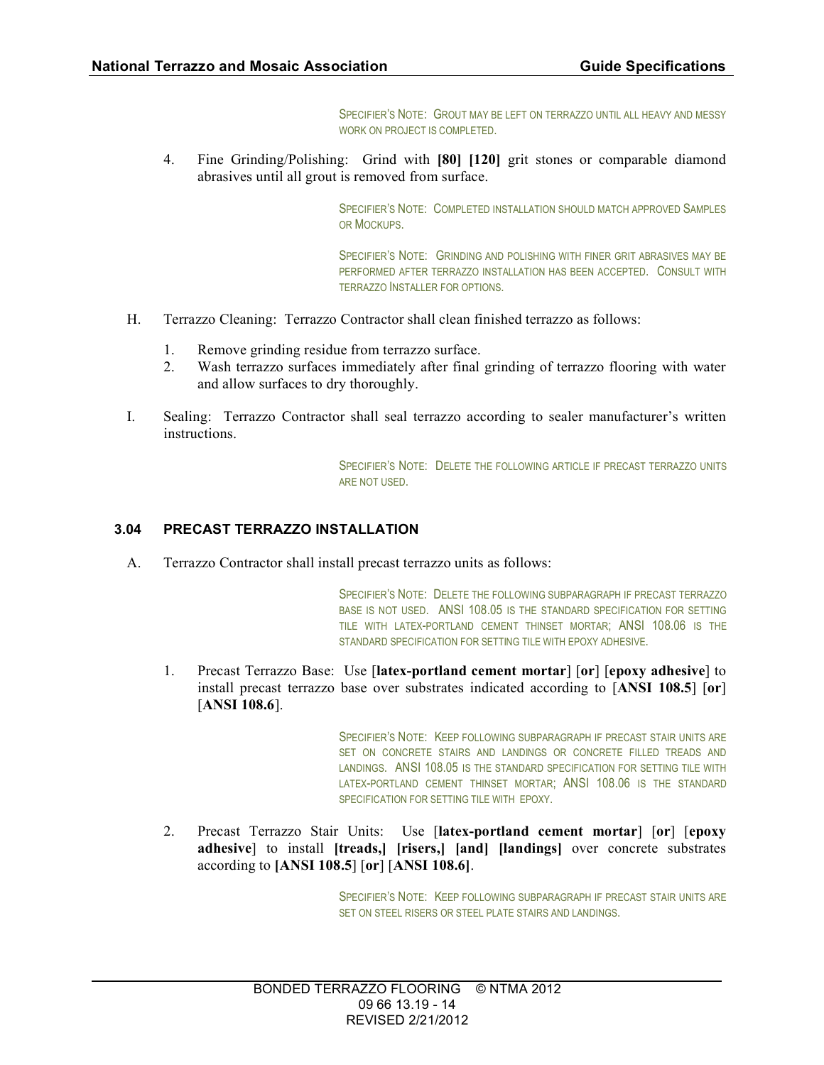SPECIFIER'S NOTE: GROUT MAY BE LEFT ON TERRAZZO UNTIL ALL HEAVY AND MESSY WORK ON PROJECT IS COMPLETED.

4. Fine Grinding/Polishing: Grind with **[80] [120]** grit stones or comparable diamond abrasives until all grout is removed from surface.

> SPECIFIER'S NOTE: COMPLETED INSTALLATION SHOULD MATCH APPROVED SAMPLES OR MOCKUPS.

> SPECIFIER'S NOTE: GRINDING AND POLISHING WITH FINER GRIT ABRASIVES MAY BE PERFORMED AFTER TERRAZZO INSTALLATION HAS BEEN ACCEPTED. CONSULT WITH TERRAZZO INSTALLER FOR OPTIONS.

- H. Terrazzo Cleaning: Terrazzo Contractor shall clean finished terrazzo as follows:
	- 1. Remove grinding residue from terrazzo surface.
	- 2. Wash terrazzo surfaces immediately after final grinding of terrazzo flooring with water and allow surfaces to dry thoroughly.
- I. Sealing: Terrazzo Contractor shall seal terrazzo according to sealer manufacturer's written instructions.

SPECIFIER'S NOTE: DELETE THE FOLLOWING ARTICLE IF PRECAST TERRAZZO UNITS ARE NOT USED.

#### **3.04 PRECAST TERRAZZO INSTALLATION**

A. Terrazzo Contractor shall install precast terrazzo units as follows:

SPECIFIER'S NOTE: DELETE THE FOLLOWING SUBPARAGRAPH IF PRECAST TERRAZZO BASE IS NOT USED. ANSI 108.05 IS THE STANDARD SPECIFICATION FOR SETTING TILE WITH LATEX-PORTLAND CEMENT THINSET MORTAR; ANSI 108.06 IS THE STANDARD SPECIFICATION FOR SETTING TILE WITH EPOXY ADHESIVE.

1. Precast Terrazzo Base: Use [**latex-portland cement mortar**] [**or**] [**epoxy adhesive**] to install precast terrazzo base over substrates indicated according to [**ANSI 108.5**] [**or**] [**ANSI 108.6**].

> SPECIFIER'S NOTE: KEEP FOLLOWING SUBPARAGRAPH IF PRECAST STAIR UNITS ARE SET ON CONCRETE STAIRS AND LANDINGS OR CONCRETE FILLED TREADS AND LANDINGS. ANSI 108.05 IS THE STANDARD SPECIFICATION FOR SETTING TILE WITH LATEX-PORTLAND CEMENT THINSET MORTAR; ANSI 108.06 IS THE STANDARD SPECIFICATION FOR SETTING TILE WITH EPOXY.

2. Precast Terrazzo Stair Units: Use [**latex-portland cement mortar**] [**or**] [**epoxy adhesive**] to install **[treads,] [risers,] [and] [landings]** over concrete substrates according to **[ANSI 108.5**] [**or**] [**ANSI 108.6]**.

> SPECIFIER'S NOTE: KEEP FOLLOWING SUBPARAGRAPH IF PRECAST STAIR UNITS ARE SET ON STEEL RISERS OR STEEL PLATE STAIRS AND LANDINGS.